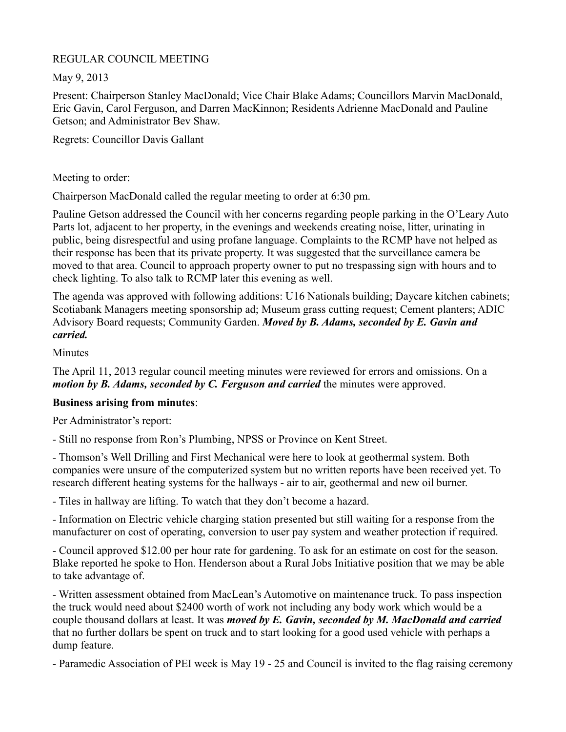## REGULAR COUNCIL MEETING

May 9, 2013

Present: Chairperson Stanley MacDonald; Vice Chair Blake Adams; Councillors Marvin MacDonald, Eric Gavin, Carol Ferguson, and Darren MacKinnon; Residents Adrienne MacDonald and Pauline Getson; and Administrator Bev Shaw.

Regrets: Councillor Davis Gallant

Meeting to order:

Chairperson MacDonald called the regular meeting to order at 6:30 pm.

Pauline Getson addressed the Council with her concerns regarding people parking in the O'Leary Auto Parts lot, adjacent to her property, in the evenings and weekends creating noise, litter, urinating in public, being disrespectful and using profane language. Complaints to the RCMP have not helped as their response has been that its private property. It was suggested that the surveillance camera be moved to that area. Council to approach property owner to put no trespassing sign with hours and to check lighting. To also talk to RCMP later this evening as well.

The agenda was approved with following additions: U16 Nationals building; Daycare kitchen cabinets; Scotiabank Managers meeting sponsorship ad; Museum grass cutting request; Cement planters; ADIC Advisory Board requests; Community Garden. *Moved by B. Adams, seconded by E. Gavin and carried.*

**Minutes** 

The April 11, 2013 regular council meeting minutes were reviewed for errors and omissions. On a *motion by B. Adams, seconded by C. Ferguson and carried* the minutes were approved.

# **Business arising from minutes**:

Per Administrator's report:

- Still no response from Ron's Plumbing, NPSS or Province on Kent Street.

- Thomson's Well Drilling and First Mechanical were here to look at geothermal system. Both companies were unsure of the computerized system but no written reports have been received yet. To research different heating systems for the hallways - air to air, geothermal and new oil burner.

- Tiles in hallway are lifting. To watch that they don't become a hazard.

- Information on Electric vehicle charging station presented but still waiting for a response from the manufacturer on cost of operating, conversion to user pay system and weather protection if required.

- Council approved \$12.00 per hour rate for gardening. To ask for an estimate on cost for the season. Blake reported he spoke to Hon. Henderson about a Rural Jobs Initiative position that we may be able to take advantage of.

- Written assessment obtained from MacLean's Automotive on maintenance truck. To pass inspection the truck would need about \$2400 worth of work not including any body work which would be a couple thousand dollars at least. It was *moved by E. Gavin, seconded by M. MacDonald and carried* that no further dollars be spent on truck and to start looking for a good used vehicle with perhaps a dump feature.

- Paramedic Association of PEI week is May 19 - 25 and Council is invited to the flag raising ceremony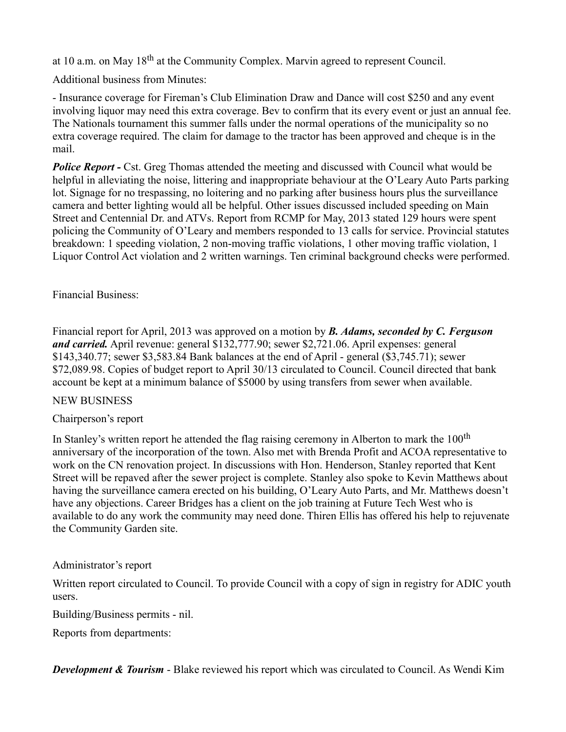at 10 a.m. on May 18<sup>th</sup> at the Community Complex. Marvin agreed to represent Council.

Additional business from Minutes:

- Insurance coverage for Fireman's Club Elimination Draw and Dance will cost \$250 and any event involving liquor may need this extra coverage. Bev to confirm that its every event or just an annual fee. The Nationals tournament this summer falls under the normal operations of the municipality so no extra coverage required. The claim for damage to the tractor has been approved and cheque is in the mail.

**Police Report -** Cst. Greg Thomas attended the meeting and discussed with Council what would be helpful in alleviating the noise, littering and inappropriate behaviour at the O'Leary Auto Parts parking lot. Signage for no trespassing, no loitering and no parking after business hours plus the surveillance camera and better lighting would all be helpful. Other issues discussed included speeding on Main Street and Centennial Dr. and ATVs. Report from RCMP for May, 2013 stated 129 hours were spent policing the Community of O'Leary and members responded to 13 calls for service. Provincial statutes breakdown: 1 speeding violation, 2 non-moving traffic violations, 1 other moving traffic violation, 1 Liquor Control Act violation and 2 written warnings. Ten criminal background checks were performed.

### Financial Business:

Financial report for April, 2013 was approved on a motion by *B. Adams, seconded by C. Ferguson and carried.* April revenue: general \$132,777.90; sewer \$2,721.06. April expenses: general \$143,340.77; sewer \$3,583.84 Bank balances at the end of April - general (\$3,745.71); sewer \$72,089.98. Copies of budget report to April 30/13 circulated to Council. Council directed that bank account be kept at a minimum balance of \$5000 by using transfers from sewer when available.

### NEW BUSINESS

# Chairperson's report

In Stanley's written report he attended the flag raising ceremony in Alberton to mark the  $100<sup>th</sup>$ anniversary of the incorporation of the town. Also met with Brenda Profit and ACOA representative to work on the CN renovation project. In discussions with Hon. Henderson, Stanley reported that Kent Street will be repaved after the sewer project is complete. Stanley also spoke to Kevin Matthews about having the surveillance camera erected on his building, O'Leary Auto Parts, and Mr. Matthews doesn't have any objections. Career Bridges has a client on the job training at Future Tech West who is available to do any work the community may need done. Thiren Ellis has offered his help to rejuvenate the Community Garden site.

### Administrator's report

Written report circulated to Council. To provide Council with a copy of sign in registry for ADIC youth users.

Building/Business permits - nil.

Reports from departments:

*Development & Tourism* - Blake reviewed his report which was circulated to Council. As Wendi Kim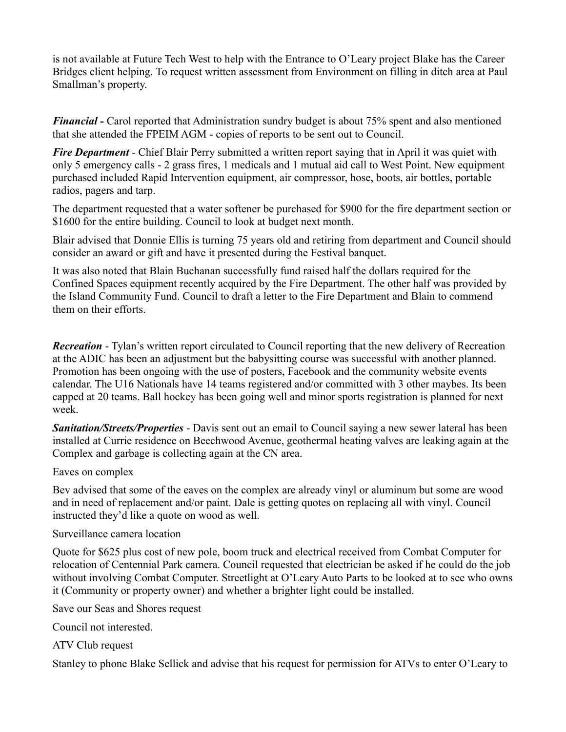is not available at Future Tech West to help with the Entrance to O'Leary project Blake has the Career Bridges client helping. To request written assessment from Environment on filling in ditch area at Paul Smallman's property.

*Financial -* Carol reported that Administration sundry budget is about 75% spent and also mentioned that she attended the FPEIM AGM - copies of reports to be sent out to Council.

*Fire Department* - Chief Blair Perry submitted a written report saying that in April it was quiet with only 5 emergency calls - 2 grass fires, 1 medicals and 1 mutual aid call to West Point. New equipment purchased included Rapid Intervention equipment, air compressor, hose, boots, air bottles, portable radios, pagers and tarp.

The department requested that a water softener be purchased for \$900 for the fire department section or \$1600 for the entire building. Council to look at budget next month.

Blair advised that Donnie Ellis is turning 75 years old and retiring from department and Council should consider an award or gift and have it presented during the Festival banquet.

It was also noted that Blain Buchanan successfully fund raised half the dollars required for the Confined Spaces equipment recently acquired by the Fire Department. The other half was provided by the Island Community Fund. Council to draft a letter to the Fire Department and Blain to commend them on their efforts.

*Recreation* - Tylan's written report circulated to Council reporting that the new delivery of Recreation at the ADIC has been an adjustment but the babysitting course was successful with another planned. Promotion has been ongoing with the use of posters, Facebook and the community website events calendar. The U16 Nationals have 14 teams registered and/or committed with 3 other maybes. Its been capped at 20 teams. Ball hockey has been going well and minor sports registration is planned for next week.

*Sanitation/Streets/Properties* - Davis sent out an email to Council saying a new sewer lateral has been installed at Currie residence on Beechwood Avenue, geothermal heating valves are leaking again at the Complex and garbage is collecting again at the CN area.

#### Eaves on complex

Bev advised that some of the eaves on the complex are already vinyl or aluminum but some are wood and in need of replacement and/or paint. Dale is getting quotes on replacing all with vinyl. Council instructed they'd like a quote on wood as well.

#### Surveillance camera location

Quote for \$625 plus cost of new pole, boom truck and electrical received from Combat Computer for relocation of Centennial Park camera. Council requested that electrician be asked if he could do the job without involving Combat Computer. Streetlight at O'Leary Auto Parts to be looked at to see who owns it (Community or property owner) and whether a brighter light could be installed.

Save our Seas and Shores request

Council not interested.

ATV Club request

Stanley to phone Blake Sellick and advise that his request for permission for ATVs to enter O'Leary to